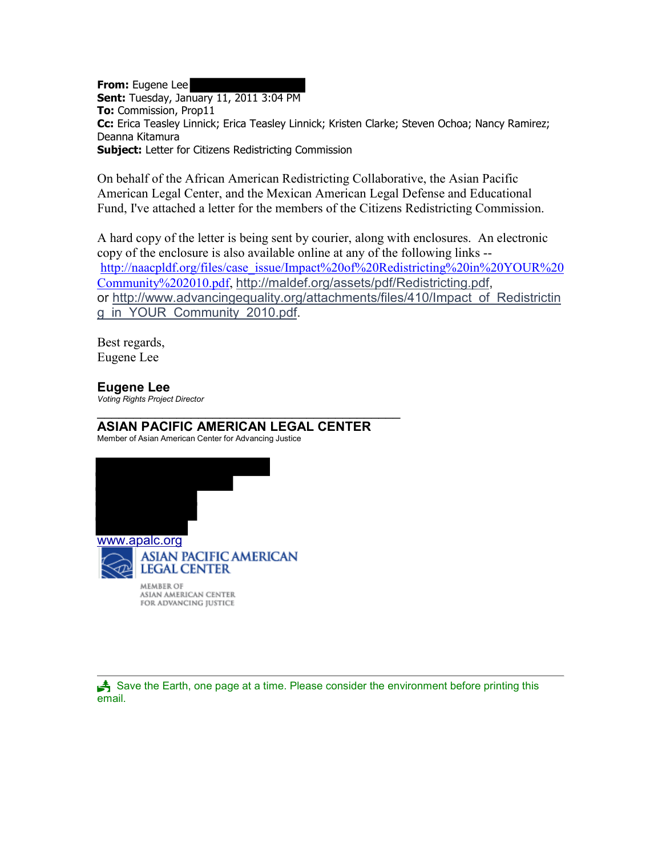**From:** Eugene Lee **Sent:** Tuesday, January 11, 2011 3:04 PM **To:** Commission, Prop11 **Cc:** Erica Teasley Linnick; Erica Teasley Linnick; Kristen Clarke; Steven Ochoa; Nancy Ramirez; Deanna Kitamura **Subject:** Letter for Citizens Redistricting Commission

On behalf of the African American Redistricting Collaborative, the Asian Pacific American Legal Center, and the Mexican American Legal Defense and Educational Fund, I've attached a letter for the members of the Citizens Redistricting Commission.

A hard copy of the letter is being sent by courier, along with enclosures. An electronic copy of the enclosure is also available online at any of the following links - [http://naacpldf.org/files/case\\_issue/Impact%20of%20Redistricting%20in%20YOUR%20](http://naacpldf.org/files/case_issue/Impact%20of%20Redistricting%20in%20YOUR%20Community%202010.pdf) [Community%202010.pdf,](http://naacpldf.org/files/case_issue/Impact%20of%20Redistricting%20in%20YOUR%20Community%202010.pdf) [http://maldef.org/assets/pdf/Redistricting.pdf,](http://maldef.org/assets/pdf/Redistricting.pdf) or [http://www.advancingequality.org/attachments/files/410/Impact\\_of\\_Redistrictin](http://www.advancingequality.org/attachments/files/410/Impact_of_Redistricting_in_YOUR_Community_2010.pdf) [g\\_in\\_YOUR\\_Community\\_2010.pdf.](http://www.advancingequality.org/attachments/files/410/Impact_of_Redistricting_in_YOUR_Community_2010.pdf)

Best regards, Eugene Lee

## **Eugene Lee**

*Voting Rights Project Director*

## $\frac{1}{2}$  , and the set of the set of the set of the set of the set of the set of the set of the set of the set of the set of the set of the set of the set of the set of the set of the set of the set of the set of the set **ASIAN PACIFIC AMERICAN LEGAL CENTER**

Member of Asian American Center for Advancing Justice



Save the Earth, one page at a time. Please consider the environment before printing this email.